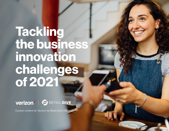## **Tackling the business innovation challenges of 2021**



Custom content for Verizon by Retail Dive's studioID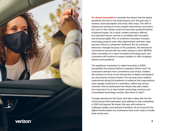

**It's almost impossible** to overstate the impact that the global pandemic has had on the retail industry over the past year in revenue, brand perception and many other ways. The shift to staying and working at home created retail winners and losers, but much of the change could not have been predicted before lockdowns began. As a result, retailers learned a difficult, but important lesson: survival is correlated with innovation and technical agility. Prior to lockdown, innovation-focused technology projects were often deprioritized until their value became critical to companies' livelihood. But as consumer behaviors changed because of the pandemic, the demand for convenience services like buy online, pickup in-store (BOPIS), video consulting, or in-store touchless technology grew, and consumers will continue to expect retailers to offer shopping options post-pandemic.

The significant momentum to adopt innovation in 2020 precipitates the obvious follow-on question: What's next? As consumers demand more convenience and choice, retailers will continue to focus on the intersection of digital and physical as a key priority moving forward. The success some retailers experienced during the pandemic is evidence that organizations must engage customers in a seamless, unified way across channels. And as businesses look ahead, they also realize how important it is to have holistic technology solutions and consolidated technology vendors. But where to start?

To begin planning for the future, let's take a deep dive into the critical issues that businesses must address to stay competitive in 2021 and beyond. No doubt, this year will continue to challenge retailers and demand innovation. As we move into the digital transformation era, businesses have to be ready to handle what comes next.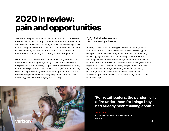## **2020 in review: pain and opportunities**

To balance the pain points of the last year, there have been some upsides. One positive change is the accelerated rate of technology adoption and innovation. The changes retailers made during 2020 weren't completely new ideas, said Jerri Traflet, Principal Consultant, Retail Innovation, Verizon. "For retail leaders, the pandemic lit a fire under them for things they had already been thinking about."

When retail stores weren't open to the public, they increased their focus on ecommerce growth, making it easier for consumers to buy products online or through apps. Another positive is that many stores quickly pivoted to offer curbside pickup, BOPIS and delivery services via partners to get customers their goods. But to do this, retailers who performed well during the pandemic had to have technology that allowed for agility and flexibility.



**Retail winners and losers by chance** 

Although having agile technology in place was critical, it wasn't all that separated the retail winners from those who struggled during the pandemic, said Greg Buzek, founder and president, IHL Group, a global research and advisory firm for the retail and hospitality industries. The most significant characteristic of retail winners is that they were essential services that government regulations allowed to be open during the pandemic. "You had big box retailers, like Target, Walmart, Sam's Club, Costco, et cetera, that could sell clothes, but small boutiques weren't allowed to open. That decision had a devastating impact on the retail landscape."



**"For retail leaders, the pandemic lit a fire under them for things they had already been thinking about."**

**Jerri Traflet** Principal Consultant, Retail Innovation Verizon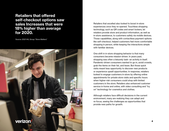#### **Retailers that offered self-checkout options saw sales Increases that were 18% higher than average for 2020.**

Source: 2021 IHL Group "Store Matters"

verizon

Retailers that excelled also looked to boost in-store experiences once they re-opened. Touchless shopping technology, such as QR codes and smart lockers, let retailers provide store and product information, as well as in-store assistance, to customers safely via mobile devices. Those capabilities, along with contactless payment options like self-checkout, helped customers feel more comfortable shopping in person, while keeping the interactions simple with familiar devices.

One shift in in-store shopping behavior is that many consumers became mission-driven. In years past, shopping was often a leisurely task--an activity in itself. Pandemic-driven consumers wanted to go in, avoid crowds, grab the items on their list, and leave. But those quick visits meant less opportunity to discover new products or experience upsell opportunities. In response, retailers looked to engage customers in-store by offering online appointments for private store visits and specific hours when higher-risk consumers could shop with limited customers in the store. Retailers also enhanced customer service in-home and online, with video consulting and "try on" technology for cosmetics and clothes.

Although retailers face difficult decisions in the current environment, many are realizing they can adapt and re-focus, seeing the challenges as opportunities that provide new paths for growth.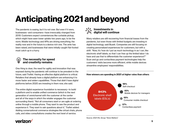## **Anticipating 2021 and beyond**

The pandemic is easing, but it is not over. But even if it were, businesses--and consumers--have irrevocably changed from 2019. Customers expect conveniences like curbside pickup, which might have seen lower uptake two years ago, to be the norm. Mobile technology and APIs are driving everything; the reality now and in the future is a device rich one. The ante has been raised, and businesses that were initially caught flat-footed must catch up in a hurry.



One thing is clear, the need for agility and innovation that was exposed during the pandemic will continue to be prevalent in the future, said Traflet. Having an effective digital platform is critical. Retailers that already have a digital platform are enhancing it to move faster and widen capabilities. Those that didn't have digital platforms before 2020 are investing in them now, she said.

The entire digital experience foundation is necessary--to build a platform and to enable unified commerce (which is the next generation of omnichannel with the customer at the center and all of the ways in which the retailer engages the customer surrounding them). "Not all consumers want or are agile at ordering online through a mobile phone. They want to see the product and experience it. They want to ask questions about it," Traflet added. Adding conversational commerce strategies like virtual chats, phone calls, and video consultations creates the next level of service.

#### م۹م<br>م¶ح<br>م۹م **Investments in digital will continue**

Many retailers are still recovering from financial losses from the pandemic, but even those with limited budgets are investing in digital technology, said Buzek. Companies are still focusing on creating personalized experiences for customers, but with a shift. "Now, it's 'how do I put as much technology in as I can, like electronic shelf labels, so that I can free up the limited labor I do have and use that to differentiate the customer experience?'" Scan and go and contactless payment technologies help the customers' visits become more efficient, while mobile devices streamline employees' responsibilities.



Source: 2021 IHL Group "Store Matters"

#### **How winners are spending in 2021 at higher rates than others**

#### verizon<sup>V</sup>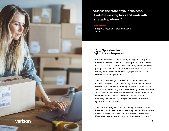

**"Assess the state of your business. Evaluate existing tools and work with strategic partners."**

#### **Jerri Traflet**

Principal Consultant, Retail Innovation Verizon



Retailers who haven't made changes to get to parity with the competition or those who haven't pursued innovation in 2020 can still find success. But to do that, they must move quickly to assess the state of their business, evaluate their existing tools and work with strategic partners to create more streamlined operations.

When it comes to digital innovation, some retailers are ahead of the growth curve. But many others may not know where to start to develop their digital infrastructure, Traflet said, but they know they must do something. Smaller retailers look at the successes of industry leaders and wonder, how will I be impacted? How can I be nimble and deliver effectively? How do I stay competitive and differentiate my products and services?

When retailers begin to consider the digital infrastructure they need to address those issues, they may not know where to start. "Assess the state of your business," Traflet said. "Evaluate existing tools and work with strategic partners."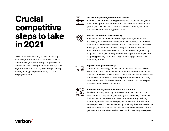### **Crucial competitive steps to take in 2021**

All of these initiatives rely on retailers having a nimble digital infrastructure. Whether retailers are new to digital, scrambling to improve what they have, or expanding their capabilities, a solid digital infrastructure is key to tackling inventory management, pickup and delivery, CX, and employee retention.



#### **Get inventory management under control.**

Improving this process, adding visibility and predictive analysis to drive down operational expenses is vital, and that need cannot be ignored, said Buzek. "It's a battle for the next decade, and if you don't have it under control, you're dead."

#### **Elevate customer experience (CX).**

Businesses can improve customer experiences, satisfaction, and loyalty with a seamless omnichannel experience that unifies customer service across all channels and uses data to personalize messaging. Customer behavior changes quickly, so retailers must check in to understand who their customers are, how they shop, and how to give the right amount of support and help in the shopping process, Traflet said. A good starting place is to map customer journeys.

#### **Improve pickup and delivery.**

This is now a necessity, and retailers must have the capabilities to offer it to their customers. But with BOPIS and curbside now a standard provision, retailers need to have efficiencies to drive costs of these options down, so they are profitable. Retailers are using dark stores, micro fulfillment centers, and second stores to speed deliveries to customers, Buzek said.



#### **Focus on employee effectiveness and retention.**

Retailers typically have high employee turnover rates, and it is even harder to keep employees during the pandemic, Traflet said. Businesses can increase employee retention through training, education, enablement, and employee satisfaction. Retailers can help employees do their job better by providing the tools needed to work remotely, such as mobile devices that let employees quickly get answers, information, and access to microlearning as required.

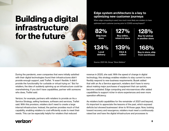### **Building a digital infrastructure for the future**

#### **Edge system architecture is a key to optimizing new customer journeys**

When edge computing is used, how much more likely are retailers to have optimized each customer journey prior to COVID survey/impact?

**82% Ship from store**

**134%**

**Local delivery** **127%**

**Buy online, return in store**

**139%**

**Click & collect**

Source: 2021 IHL Group "Store Matters"

**128% Buy for pickup in another store**

**168%**

**Buy in store, ship from warehouse**

During the pandemic, even companies that were initially satisfied with their digital technologies found their infrastructures didn't provide enough support, said Traflet. "It wasn't flexible. It didn't provide the functionality for curbside or virtual trying on." But for retailers, the idea of suddenly spinning up an infrastructure could be overwhelming. If you don't have capabilities, partner with someone who does, Traflet said.

Verizon, for example, partners with retailers to provide an As a Service Strategy, selling hardware, software and services, Traflet said. With this provision, retailers don't need to create a large internal infrastructure. Instead, the partner provides much of that capability, enabling retailers to cost-efficiently scale to meet their needs. This can be especially helpful for retailers that reduced

revenue in 2020, she said. With the speed of change in digital technology, this strategy enables retailers to stay current to more flexibly respond to new business requirements. Buzek added that with an As a Service approach, retailers don't have to worry about making major purchases of equipment that can quickly become outdated. Edge computing and microservices offer added capabilities to support richer in-store experiences and even more operation efficiency.

As retailers build capabilities for the remainder of 2021 and beyond, it's important to appreciate the lessons of the past, which exposed deficits but showed businesses' drive to fill those gaps. Now, looking toward recovery and resurgence, retailers must meet a continuously raised bar and have the digital infrastructure and processes to

#### verizon<sup>V</sup>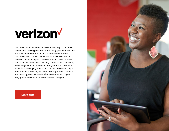## verizon

Verizon Communications Inc. (NYSE, Nasdaq: VZ) is one of the world's leading providers of technology, communications, information and entertainment products and services. Verizon is also a retailer, with more than 2000 stores in the US. The company offers voice, data and video services and solutions on its award winning networks and platforms, delivering solutions that enable today's retail environment, while future-readying it for tomorrow. Verizon drives unique customer experiences, advanced mobility, reliable network connectivity, network security/cybersecurity and digital engagement solutions for clients around the globe.



**[Learn more](https://www.verizon.com/business/)**